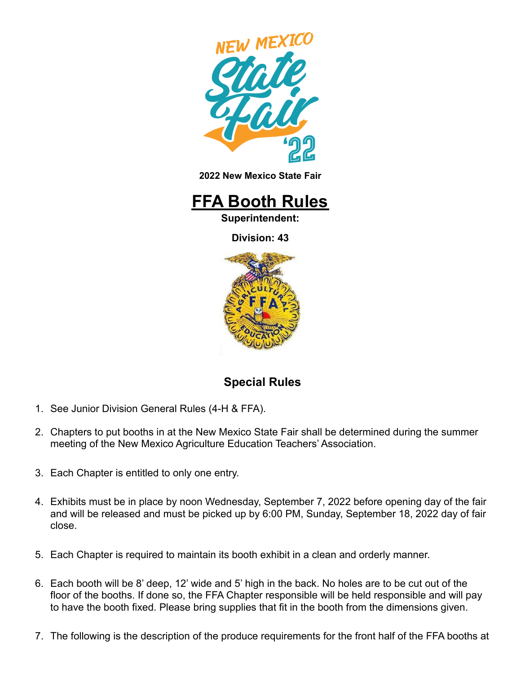

**2022 New Mexico State Fair**



**Superintendent:**

**Division: 43**



## **Special Rules**

- 1. See Junior Division General Rules (4-H & FFA).
- 2. Chapters to put booths in at the New Mexico State Fair shall be determined during the summer meeting of the New Mexico Agriculture Education Teachers' Association.
- 3. Each Chapter is entitled to only one entry.
- 4. Exhibits must be in place by noon Wednesday, September 7, 2022 before opening day of the fair and will be released and must be picked up by 6:00 PM, Sunday, September 18, 2022 day of fair close.
- 5. Each Chapter is required to maintain its booth exhibit in a clean and orderly manner.
- 6. Each booth will be 8' deep, 12' wide and 5' high in the back. No holes are to be cut out of the floor of the booths. If done so, the FFA Chapter responsible will be held responsible and will pay to have the booth fixed. Please bring supplies that fit in the booth from the dimensions given.
- 7. The following is the description of the produce requirements for the front half of the FFA booths at